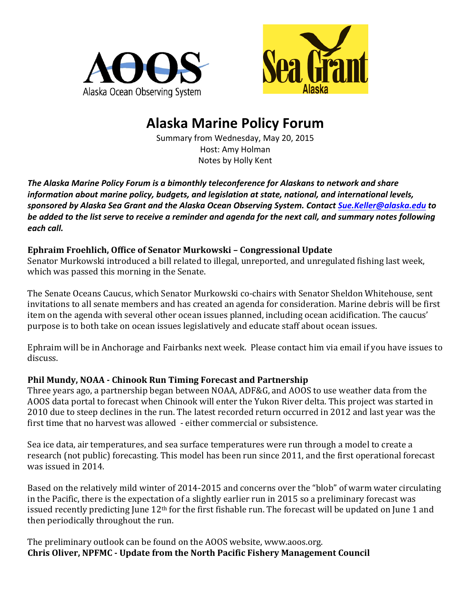



# **Alaska Marine Policy Forum**

Summary from Wednesday, May 20, 2015 Host: Amy Holman Notes by Holly Kent

The Alaska Marine Policy Forum is a bimonthly teleconference for Alaskans to network and share *information about marine policy, budgets, and legislation at state, national, and international levels, sponsored by Alaska Sea Grant and the Alaska Ocean Observing System. Contact [Sue.Keller@alaska.edu](mailto:Sue.Keller@alaska.edu) to*  be added to the list serve to receive a reminder and agenda for the next call, and summary notes following *each call.* 

# **Ephraim Froehlich, Office of Senator Murkowski - Congressional Update**

Senator Murkowski introduced a bill related to illegal, unreported, and unregulated fishing last week, which was passed this morning in the Senate.

The Senate Oceans Caucus, which Senator Murkowski co-chairs with Senator Sheldon Whitehouse, sent invitations to all senate members and has created an agenda for consideration. Marine debris will be first item on the agenda with several other ocean issues planned, including ocean acidification. The caucus' purpose is to both take on ocean issues legislatively and educate staff about ocean issues.

Ephraim will be in Anchorage and Fairbanks next week. Please contact him via email if you have issues to discuss.

# **Phil Mundy, NOAA - Chinook Run Timing Forecast and Partnership**

Three years ago, a partnership began between NOAA, ADF&G, and AOOS to use weather data from the AOOS data portal to forecast when Chinook will enter the Yukon River delta. This project was started in 2010 due to steep declines in the run. The latest recorded return occurred in 2012 and last year was the first time that no harvest was allowed - either commercial or subsistence.

Sea ice data, air temperatures, and sea surface temperatures were run through a model to create a research (not public) forecasting. This model has been run since 2011, and the first operational forecast was issued in 2014.

Based on the relatively mild winter of 2014-2015 and concerns over the "blob" of warm water circulating in the Pacific, there is the expectation of a slightly earlier run in 2015 so a preliminary forecast was issued recently predicting June  $12<sup>th</sup>$  for the first fishable run. The forecast will be updated on June 1 and then periodically throughout the run.

The preliminary outlook can be found on the AOOS website, www.aoos.org. **Chris Oliver, NPFMC - Update from the North Pacific Fishery Management Council**